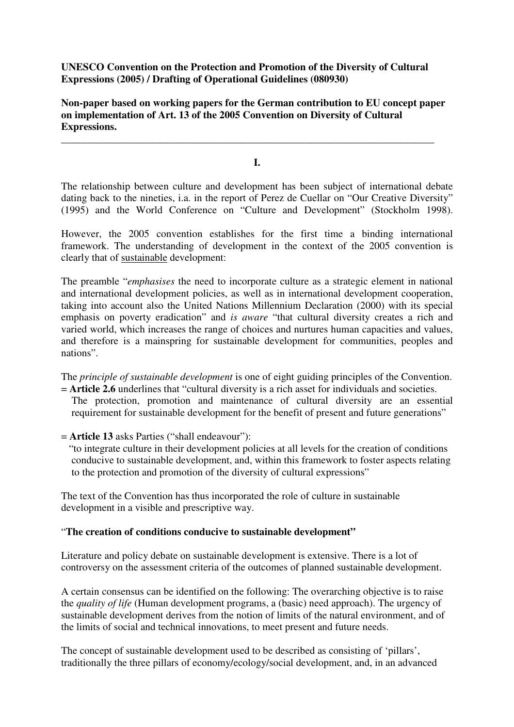**UNESCO Convention on the Protection and Promotion of the Diversity of Cultural Expressions (2005) / Drafting of Operational Guidelines (080930)** 

**Non-paper based on working papers for the German contribution to EU concept paper on implementation of Art. 13 of the 2005 Convention on Diversity of Cultural Expressions.** 

**\_\_\_\_\_\_\_\_\_\_\_\_\_\_\_\_\_\_\_\_\_\_\_\_\_\_\_\_\_\_\_\_\_\_\_\_\_\_\_\_\_\_\_\_\_\_\_\_\_\_\_\_\_\_\_\_\_\_\_\_\_\_\_\_\_\_\_\_\_\_\_\_** 

**I.** 

The relationship between culture and development has been subject of international debate dating back to the nineties, i.a. in the report of Perez de Cuellar on "Our Creative Diversity" (1995) and the World Conference on "Culture and Development" (Stockholm 1998).

However, the 2005 convention establishes for the first time a binding international framework. The understanding of development in the context of the 2005 convention is clearly that of sustainable development:

The preamble "*emphasises* the need to incorporate culture as a strategic element in national and international development policies, as well as in international development cooperation, taking into account also the United Nations Millennium Declaration (2000) with its special emphasis on poverty eradication" and *is aware* "that cultural diversity creates a rich and varied world, which increases the range of choices and nurtures human capacities and values, and therefore is a mainspring for sustainable development for communities, peoples and nations".

The *principle of sustainable development* is one of eight guiding principles of the Convention. = **Article 2.6** underlines that "cultural diversity is a rich asset for individuals and societies.

 The protection, promotion and maintenance of cultural diversity are an essential requirement for sustainable development for the benefit of present and future generations"

= **Article 13** asks Parties ("shall endeavour"):

 "to integrate culture in their development policies at all levels for the creation of conditions conducive to sustainable development, and, within this framework to foster aspects relating to the protection and promotion of the diversity of cultural expressions"

The text of the Convention has thus incorporated the role of culture in sustainable development in a visible and prescriptive way.

## "**The creation of conditions conducive to sustainable development"**

Literature and policy debate on sustainable development is extensive. There is a lot of controversy on the assessment criteria of the outcomes of planned sustainable development.

A certain consensus can be identified on the following: The overarching objective is to raise the *quality of life* (Human development programs, a (basic) need approach). The urgency of sustainable development derives from the notion of limits of the natural environment, and of the limits of social and technical innovations, to meet present and future needs.

The concept of sustainable development used to be described as consisting of 'pillars', traditionally the three pillars of economy/ecology/social development, and, in an advanced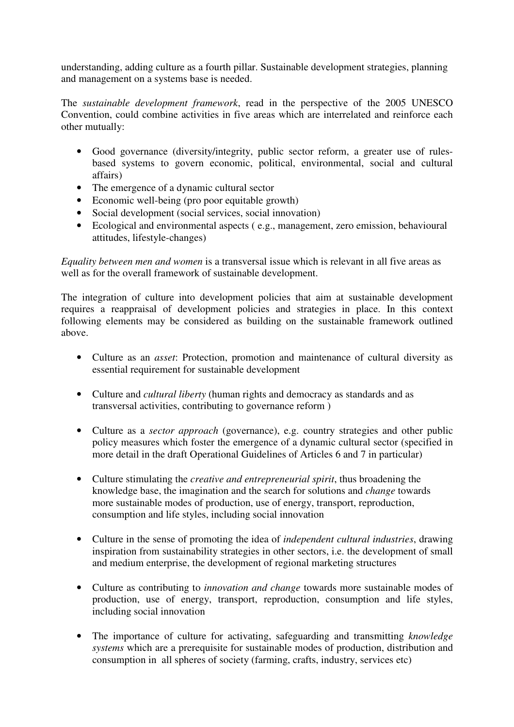understanding, adding culture as a fourth pillar. Sustainable development strategies, planning and management on a systems base is needed.

The *sustainable development framework*, read in the perspective of the 2005 UNESCO Convention, could combine activities in five areas which are interrelated and reinforce each other mutually:

- Good governance (diversity/integrity, public sector reform, a greater use of rulesbased systems to govern economic, political, environmental, social and cultural affairs)
- The emergence of a dynamic cultural sector
- Economic well-being (pro poor equitable growth)
- Social development (social services, social innovation)
- Ecological and environmental aspects ( e.g., management, zero emission, behavioural attitudes, lifestyle-changes)

*Equality between men and women* is a transversal issue which is relevant in all five areas as well as for the overall framework of sustainable development.

The integration of culture into development policies that aim at sustainable development requires a reappraisal of development policies and strategies in place. In this context following elements may be considered as building on the sustainable framework outlined above.

- Culture as an *asset*: Protection, promotion and maintenance of cultural diversity as essential requirement for sustainable development
- Culture and *cultural liberty* (human rights and democracy as standards and as transversal activities, contributing to governance reform )
- Culture as a *sector approach* (governance), e.g. country strategies and other public policy measures which foster the emergence of a dynamic cultural sector (specified in more detail in the draft Operational Guidelines of Articles 6 and 7 in particular)
- Culture stimulating the *creative and entrepreneurial spirit*, thus broadening the knowledge base, the imagination and the search for solutions and *change* towards more sustainable modes of production, use of energy, transport, reproduction, consumption and life styles, including social innovation
- Culture in the sense of promoting the idea of *independent cultural industries*, drawing inspiration from sustainability strategies in other sectors, i.e. the development of small and medium enterprise, the development of regional marketing structures
- Culture as contributing to *innovation and change* towards more sustainable modes of production, use of energy, transport, reproduction, consumption and life styles, including social innovation
- The importance of culture for activating, safeguarding and transmitting *knowledge systems* which are a prerequisite for sustainable modes of production, distribution and consumption in all spheres of society (farming, crafts, industry, services etc)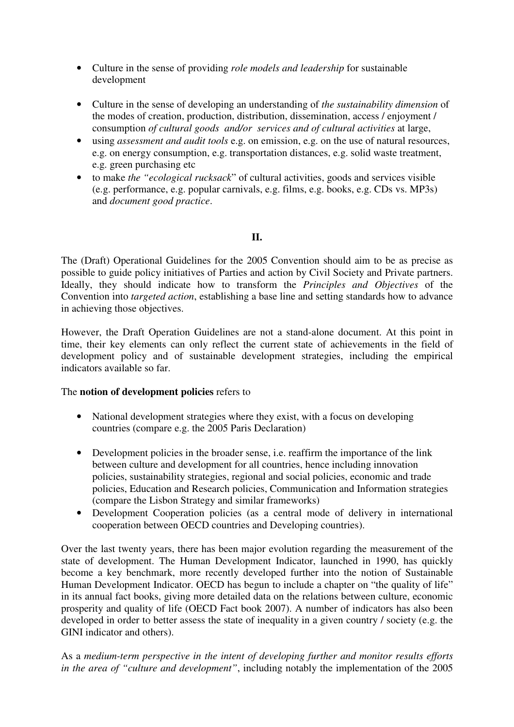- Culture in the sense of providing *role models and leadership* for sustainable development
- Culture in the sense of developing an understanding of *the sustainability dimension* of the modes of creation, production, distribution, dissemination, access / enjoyment / consumption *of cultural goods and/or services and of cultural activities* at large,
- using *assessment and audit tools* e.g. on emission, e.g. on the use of natural resources, e.g. on energy consumption, e.g. transportation distances, e.g. solid waste treatment, e.g. green purchasing etc
- to make *the "ecological rucksack*" of cultural activities, goods and services visible (e.g. performance, e.g. popular carnivals, e.g. films, e.g. books, e.g. CDs vs. MP3s) and *document good practice*.

## **II.**

The (Draft) Operational Guidelines for the 2005 Convention should aim to be as precise as possible to guide policy initiatives of Parties and action by Civil Society and Private partners. Ideally, they should indicate how to transform the *Principles and Objectives* of the Convention into *targeted action*, establishing a base line and setting standards how to advance in achieving those objectives.

However, the Draft Operation Guidelines are not a stand-alone document. At this point in time, their key elements can only reflect the current state of achievements in the field of development policy and of sustainable development strategies, including the empirical indicators available so far.

## The **notion of development policies** refers to

- National development strategies where they exist, with a focus on developing countries (compare e.g. the 2005 Paris Declaration)
- Development policies in the broader sense, i.e. reaffirm the importance of the link between culture and development for all countries, hence including innovation policies, sustainability strategies, regional and social policies, economic and trade policies, Education and Research policies, Communication and Information strategies (compare the Lisbon Strategy and similar frameworks)
- Development Cooperation policies (as a central mode of delivery in international cooperation between OECD countries and Developing countries).

Over the last twenty years, there has been major evolution regarding the measurement of the state of development. The Human Development Indicator, launched in 1990, has quickly become a key benchmark, more recently developed further into the notion of Sustainable Human Development Indicator. OECD has begun to include a chapter on "the quality of life" in its annual fact books, giving more detailed data on the relations between culture, economic prosperity and quality of life (OECD Fact book 2007). A number of indicators has also been developed in order to better assess the state of inequality in a given country / society (e.g. the GINI indicator and others).

As a *medium-term perspective in the intent of developing further and monitor results efforts in the area of "culture and development"*, including notably the implementation of the 2005